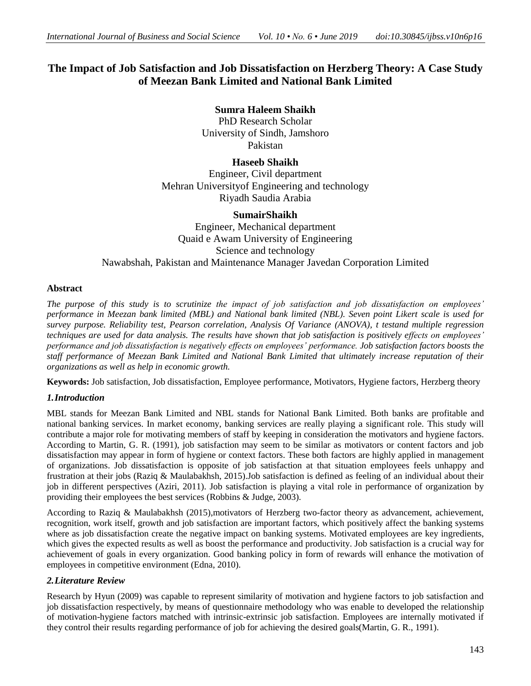# **The Impact of Job Satisfaction and Job Dissatisfaction on Herzberg Theory: A Case Study of Meezan Bank Limited and National Bank Limited**

**Sumra Haleem Shaikh** PhD Research Scholar University of Sindh, Jamshoro Pakistan

**Haseeb Shaikh** Engineer, Civil department Mehran Universityof Engineering and technology Riyadh Saudia Arabia

## **SumairShaikh**

Engineer, Mechanical department Quaid e Awam University of Engineering Science and technology Nawabshah, Pakistan and Maintenance Manager Javedan Corporation Limited

## **Abstract**

*The purpose of this study is to scrutinize the impact of job satisfaction and job dissatisfaction on employees' performance in Meezan bank limited (MBL) and National bank limited (NBL). Seven point Likert scale is used for survey purpose. Reliability test, Pearson correlation, Analysis Of Variance (ANOVA), t testand multiple regression techniques are used for data analysis. The results have shown that job satisfaction is positively effects on employees' performance and job dissatisfaction is negatively effects on employees' performance. Job satisfaction factors boosts the staff performance of Meezan Bank Limited and National Bank Limited that ultimately increase reputation of their organizations as well as help in economic growth.* 

**Keywords:** Job satisfaction, Job dissatisfaction, Employee performance, Motivators, Hygiene factors, Herzberg theory

## *1.Introduction*

MBL stands for Meezan Bank Limited and NBL stands for National Bank Limited. Both banks are profitable and national banking services. In market economy, banking services are really playing a significant role. This study will contribute a major role for motivating members of staff by keeping in consideration the motivators and hygiene factors. According to Martin, G. R. (1991), job satisfaction may seem to be similar as motivators or content factors and job dissatisfaction may appear in form of hygiene or context factors. These both factors are highly applied in management of organizations. Job dissatisfaction is opposite of job satisfaction at that situation employees feels unhappy and frustration at their jobs (Raziq & Maulabakhsh, [2015\)](file:///C:\Users\Ideal%20c\Desktop\rough\view%20point.htm%23reference-CIT0047).Job satisfaction is defined as feeling of an individual about their job in different perspectives (Aziri, [2011\)](file:///C:\Users\Ideal%20c\Desktop\rough\view%20point.htm%23reference-CIT0005). Job satisfaction is playing a vital role in performance of organization by providing their employees the best services (Robbins & Judge, [2003\)](file:///C:\Users\Ideal%20c\Desktop\rough\view%20point.htm%23reference-CIT0048).

According to Raziq & Maulabakhsh [\(2015\)](file:///C:\Users\Ideal%20c\Desktop\rough\view%20point.htm%23reference-CIT0047),motivators of Herzberg two-factor theory as advancement, achievement, recognition, work itself, growth and job satisfaction are important factors, which positively affect the banking systems where as job dissatisfaction create the negative impact on banking systems. Motivated employees are key ingredients, which gives the expected results as well as boost the performance and productivity. Job satisfaction is a crucial way for achievement of goals in every organization. Good banking policy in form of rewards will enhance the motivation of employees in competitive environment (Edna, 2010).

## *2.Literature Review*

Research by Hyun (2009) was capable to represent similarity of motivation and hygiene factors to job satisfaction and job dissatisfaction respectively, by means of questionnaire methodology who was enable to developed the relationship of motivation-hygiene factors matched with intrinsic-extrinsic job satisfaction. Employees are internally motivated if they control their results regarding performance of job for achieving the desired goals(Martin, G. R., 1991).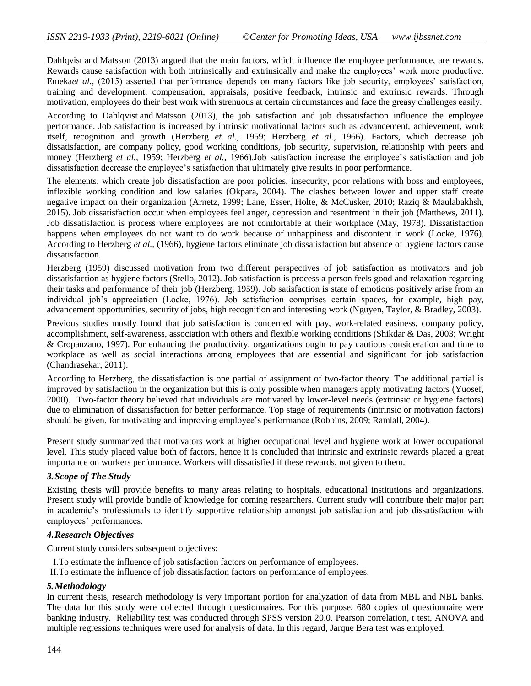Dahlqvist and Matsson (2013) argued that the main factors, which influence the employee performance, are rewards. Rewards cause satisfaction with both intrinsically and extrinsically and make the employees' work more productive. Emeka*et al.*, (2015) asserted that performance depends on many factors like job security, employees' satisfaction, training and development, compensation, appraisals, positive feedback, intrinsic and extrinsic rewards. Through motivation, employees do their best work with strenuous at certain circumstances and face the greasy challenges easily.

According to Dahlqvist and Matsson (2013), the job satisfaction and job dissatisfaction influence the employee performance. Job satisfaction is increased by intrinsic motivational factors such as advancement, achievement, work itself, recognition and growth (Herzberg *et al.,* 1959; Herzberg *et al.,* 1966). Factors, which decrease job dissatisfaction, are company policy, good working conditions, job security, supervision, relationship with peers and money (Herzberg *et al.,* 1959; Herzberg *et al.,* 1966).Job satisfaction increase the employee's satisfaction and job dissatisfaction decrease the employee's satisfaction that ultimately give results in poor performance.

The elements, which create job dissatisfaction are poor policies, insecurity, poor relations with boss and employees, inflexible working condition and low salaries (Okpara, [2004\)](file:///C:\Users\Ideal%20c\Desktop\rough\view%20point.htm%23reference-CIT0042). The clashes between lower and upper staff create negative impact on their organization (Arnetz, [1999;](file:///C:\Users\Ideal%20c\Desktop\rough\view%20point.htm%23reference-CIT0004) Lane, Esser, Holte, & McCusker, [2010;](file:///C:\Users\Ideal%20c\Desktop\rough\view%20point.htm%23reference-CIT0031) Raziq & Maulabakhsh, [2015\)](file:///C:\Users\Ideal%20c\Desktop\rough\view%20point.htm%23reference-CIT0047). Job dissatisfaction occur when employees feel anger, depression and resentment in their job (Matthews, 2011). Job dissatisfaction is process where employees are not comfortable at their workplace (May, 1978). Dissatisfaction happens when employees do not want to do work because of unhappiness and discontent in work (Locke, 1976). According to Herzberg *et al.,* (1966), hygiene factors eliminate job dissatisfaction but absence of hygiene factors cause dissatisfaction.

Herzberg (1959) discussed motivation from two different perspectives of job satisfaction as motivators and job dissatisfaction as hygiene factors (Stello, 2012). Job satisfaction is process a person feels good and relaxation regarding their tasks and performance of their job (Herzberg, 1959). Job satisfaction is state of emotions positively arise from an individual job's appreciation (Locke, 1976). Job satisfaction comprises certain spaces, for example, high pay, advancement opportunities, security of jobs, high recognition and interesting work (Nguyen, Taylor, & Bradley, [2003\)](file:///C:\Users\Ideal%20c\Desktop\rough\view%20point.htm%23reference-CIT0040).

Previous studies mostly found that job satisfaction is concerned with pay, work-related easiness, company policy, accomplishment, self-awareness, association with others and flexible working conditions (Shikdar & Das[, 2003;](file:///C:\Users\Ideal%20c\Desktop\rough\view%20point.htm%23reference-CIT0055) Wright & Cropanzano, [1997\)](file:///C:\Users\Ideal%20c\Desktop\rough\view%20point.htm%23reference-CIT0065). For enhancing the productivity, organizations ought to pay cautious consideration and time to workplace as well as social interactions among employees that are essential and significant for job satisfaction (Chandrasekar, [2011\)](file:///C:\Users\Ideal%20c\Desktop\rough\view%20point.htm%23reference-CIT0011).

According to Herzberg, the dissatisfaction is one partial of assignment of two-factor theory. The additional partial is improved by satisfaction in the organization but this is only possible when managers apply motivating factors (Yuosef, 2000). Two-factor theory believed that individuals are motivated by lower-level needs (extrinsic or hygiene factors) due to elimination of dissatisfaction for better performance. Top stage of requirements (intrinsic or motivation factors) should be given, for motivating and improving employee's performance (Robbins, 2009; Ramlall, 2004).

Present study summarized that motivators work at higher occupational level and hygiene work at lower occupational level. This study placed value both of factors, hence it is concluded that intrinsic and extrinsic rewards placed a great importance on workers performance. Workers will dissatisfied if these rewards, not given to them.

## *3.Scope of The Study*

Existing thesis will provide benefits to many areas relating to hospitals, educational institutions and organizations. Present study will provide bundle of knowledge for coming researchers. Current study will contribute their major part in academic's professionals to identify supportive relationship amongst job satisfaction and job dissatisfaction with employees' performances.

## *4.Research Objectives*

Current study considers subsequent objectives:

I.To estimate the influence of job satisfaction factors on performance of employees.

II.To estimate the influence of job dissatisfaction factors on performance of employees.

## *5.Methodology*

In current thesis, research methodology is very important portion for analyzation of data from MBL and NBL banks. The data for this study were collected through questionnaires. For this purpose, 680 copies of questionnaire were banking industry. Reliability test was conducted through SPSS version 20.0. Pearson correlation, t test, ANOVA and multiple regressions techniques were used for analysis of data. In this regard, Jarque Bera test was employed.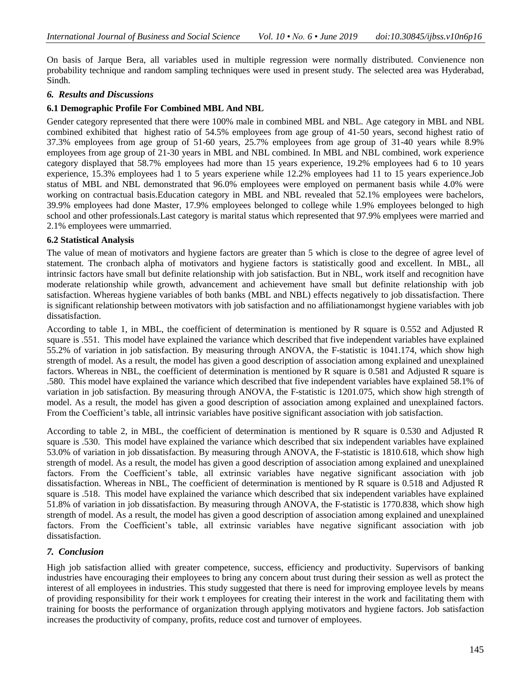On basis of Jarque Bera, all variables used in multiple regression were normally distributed. Convienence non probability technique and random sampling techniques were used in present study. The selected area was Hyderabad, Sindh.

## *6. Results and Discussions*

## **6.1 Demographic Profile For Combined MBL And NBL**

Gender category represented that there were 100% male in combined MBL and NBL. Age category in MBL and NBL combined exhibited that highest ratio of 54.5% employees from age group of 41-50 years, second highest ratio of 37.3% employees from age group of 51-60 years, 25.7% employees from age group of 31-40 years while 8.9% employees from age group of 21-30 years in MBL and NBL combined. In MBL and NBL combined, work experience category displayed that 58.7% employees had more than 15 years experience, 19.2% employees had 6 to 10 years experience, 15.3% employees had 1 to 5 years experiene while 12.2% employees had 11 to 15 years experience.Job status of MBL and NBL demonstrated that 96.0% employees were employed on permanent basis while 4.0% were working on contractual basis.Education category in MBL and NBL revealed that 52.1% employees were bachelors, 39.9% employees had done Master, 17.9% employees belonged to college while 1.9% employees belonged to high school and other professionals.Last category is marital status which represented that 97.9% emplyees were married and 2.1% employees were ummarried.

## **6.2 Statistical Analysis**

The value of mean of motivators and hygiene factors are greater than 5 which is close to the degree of agree level of statement. The cronbach alpha of motivators and hygiene factors is statistically good and excellent. In MBL, all intrinsic factors have small but definite relationship with job satisfaction. But in NBL, work itself and recognition have moderate relationship while growth, advancement and achievement have small but definite relationship with job satisfaction. Whereas hygiene variables of both banks (MBL and NBL) effects negatively to job dissatisfaction. There is significant relationship between motivators with job satisfaction and no affiliationamongst hygiene variables with job dissatisfaction.

According to table 1, in MBL, the coefficient of determination is mentioned by R square is 0.552 and Adjusted R square is .551. This model have explained the variance which described that five independent variables have explained 55.2% of variation in job satisfaction. By measuring through ANOVA, the F-statistic is 1041.174, which show high strength of model. As a result, the model has given a good description of association among explained and unexplained factors. Whereas in NBL, the coefficient of determination is mentioned by R square is 0.581 and Adjusted R square is .580. This model have explained the variance which described that five independent variables have explained 58.1% of variation in job satisfaction. By measuring through ANOVA, the F-statistic is 1201.075, which show high strength of model. As a result, the model has given a good description of association among explained and unexplained factors. From the Coefficient's table, all intrinsic variables have positive significant association with job satisfaction.

According to table 2, in MBL, the coefficient of determination is mentioned by R square is 0.530 and Adjusted R square is .530. This model have explained the variance which described that six independent variables have explained 53.0% of variation in job dissatisfaction. By measuring through ANOVA, the F-statistic is 1810.618, which show high strength of model. As a result, the model has given a good description of association among explained and unexplained factors. From the Coefficient's table, all extrinsic variables have negative significant association with job dissatisfaction. Whereas in NBL, The coefficient of determination is mentioned by R square is 0.518 and Adjusted R square is .518. This model have explained the variance which described that six independent variables have explained 51.8% of variation in job dissatisfaction. By measuring through ANOVA, the F-statistic is 1770.838, which show high strength of model. As a result, the model has given a good description of association among explained and unexplained factors. From the Coefficient's table, all extrinsic variables have negative significant association with job dissatisfaction.

## *7. Conclusion*

High job satisfaction allied with greater competence, success, efficiency and productivity. Supervisors of banking industries have encouraging their employees to bring any concern about trust during their session as well as protect the interest of all employees in industries. This study suggested that there is need for improving employee levels by means of providing responsibility for their work t employees for creating their interest in the work and facilitating them with training for boosts the performance of organization through applying motivators and hygiene factors. Job satisfaction increases the productivity of company, profits, reduce cost and turnover of employees.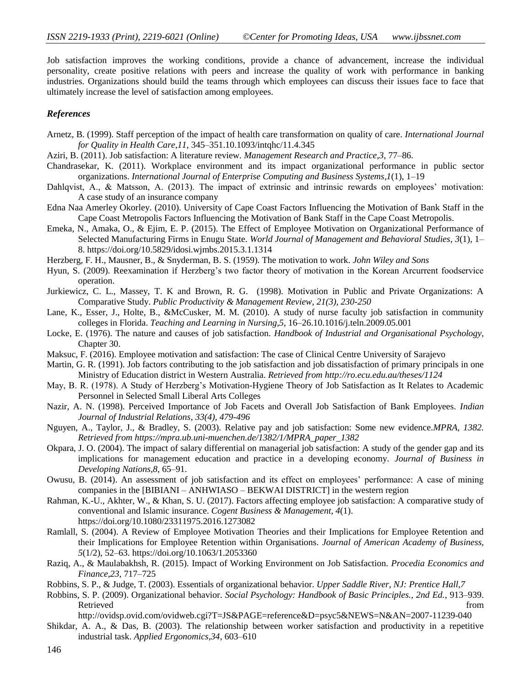Job satisfaction improves the working conditions, provide a chance of advancement, increase the individual personality, create positive relations with peers and increase the quality of work with performance in banking industries. Organizations should build the teams through which employees can discuss their issues face to face that ultimately increase the level of satisfaction among employees.

#### *References*

- Arnetz, B. (1999). Staff perception of the impact of health care transformation on quality of care. *International Journal for Quality in Health Care,11*, 345–351.10.1093/intqhc/11.4.345
- Aziri, B. (2011). Job satisfaction: A literature review. *Management Research and Practice,3*, 77–86.
- Chandrasekar, K. (2011). Workplace environment and its impact organizational performance in public sector organizations. *International Journal of Enterprise Computing and Business Systems,1*(1), 1–19
- Dahlqvist, A., & Matsson, A. (2013). The impact of extrinsic and intrinsic rewards on employees' motivation: A case study of an insurance company
- Edna Naa Amerley Okorley. (2010). University of Cape Coast Factors Influencing the Motivation of Bank Staff in the Cape Coast Metropolis Factors Influencing the Motivation of Bank Staff in the Cape Coast Metropolis.
- Emeka, N., Amaka, O., & Ejim, E. P. (2015). The Effect of Employee Motivation on Organizational Performance of Selected Manufacturing Firms in Enugu State. *World Journal of Management and Behavioral Studies*, *3*(1), 1– 8.<https://doi.org/10.5829/idosi.wjmbs.2015.3.1.1314>
- Herzberg, F. H., Mausner, B., & Snyderman, B. S. (1959). The motivation to work. *John Wiley and Sons*
- Hyun, S. (2009). Reexamination if Herzberg's two factor theory of motivation in the Korean Arcurrent foodservice operation.
- Jurkiewicz, C. L., Massey, T. K and Brown, R. G. (1998). Motivation in Public and Private Organizations: A Comparative Study. *Public Productivity & Management Review, 21(3), 230-250*
- Lane, K., Esser, J., Holte, B., &McCusker, M. M. (2010). A study of nurse faculty job satisfaction in community colleges in Florida. *Teaching and Learning in Nursing,5*, 16–26.10.1016/j.teln.2009.05.001
- Locke, E. (1976). The nature and causes of job satisfaction. *Handbook of Industrial and Organisational Psychology*, Chapter 30.
- Maksuc, F. (2016). Employee motivation and satisfaction: The case of Clinical Centre University of Sarajevo
- Martin, G. R. (1991). Job factors contributing to the job satisfaction and job dissatisfaction of primary principals in one Ministry of Education district in Western Australia. *Retrieved from<http://ro.ecu.edu.au/theses/1124>*
- May, B. R. (1978). A Study of Herzberg's Motivation-Hygiene Theory of Job Satisfaction as It Relates to Academic Personnel in Selected Small Liberal Arts Colleges
- Nazir, A. N. (1998). Perceived Importance of Job Facets and Overall Job Satisfaction of Bank Employees. *Indian Journal of Industrial Relations, 33(4), 479-496*
- Nguyen, A., Taylor, J., & Bradley, S. (2003). Relative pay and job satisfaction: Some new evidence.*MPRA, 1382. Retrieved from https://mpra.ub.uni-muenchen.de/1382/1/MPRA\_paper\_1382*
- Okpara, J. O. (2004). The impact of salary differential on managerial job satisfaction: A study of the gender gap and its implications for management education and practice in a developing economy. *Journal of Business in Developing Nations,8*, 65–91.
- Owusu, B. (2014). An assessment of job satisfaction and its effect on employees' performance: A case of mining companies in the [BIBIANI – ANHWIASO – BEKWAI DISTRICT] in the western region
- Rahman, K.-U., Akhter, W., & Khan, S. U. (2017). Factors affecting employee job satisfaction: A comparative study of conventional and Islamic insurance. *Cogent Business & Management*, *4*(1). https://doi.org/10.1080/23311975.2016.1273082
- Ramlall, S. (2004). A Review of Employee Motivation Theories and their Implications for Employee Retention and their Implications for Employee Retention within Organisations. *Journal of American Academy of Business*, *5*(1/2), 52–63. https://doi.org/10.1063/1.2053360
- Raziq, A., & Maulabakhsh, R. (2015). Impact of Working Environment on Job Satisfaction. *Procedia Economics and Finance,23*, 717–725
- Robbins, S. P., & Judge, T. (2003). Essentials of organizational behavior. *Upper Saddle River, NJ: Prentice Hall,7*
- Robbins, S. P. (2009). Organizational behavior. *Social Psychology: Handbook of Basic Principles., 2nd Ed.*, 913–939. Retrieved that the contract of the contract of the contract of the contract of the contract of the contract of the contract of the contract of the contract of the contract of the contract of the contract of the contract of
	- http://ovidsp.ovid.com/ovidweb.cgi?T=JS&PAGE=reference&D=psyc5&NEWS=N&AN=2007-11239-040
- Shikdar, A. A., & Das, B. (2003). The relationship between worker satisfaction and productivity in a repetitive industrial task. *Applied Ergonomics,34*, 603–610